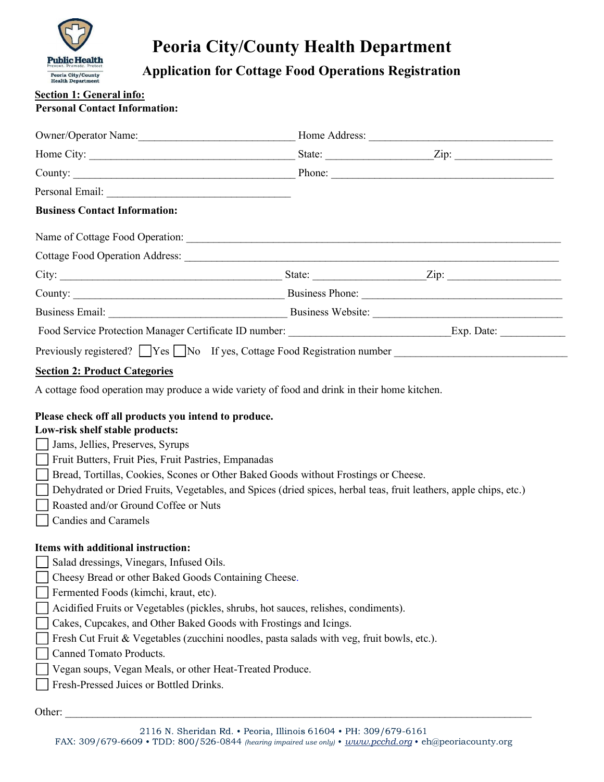

# Peoria City/County Health Department

## Section 1: General info:

### Personal Contact Information:

| <b>Public Health</b>                                                    | <b>Application for Cottage Food Operations Registration</b>                                                  |                                                                                              |                                                                                                                      |  |  |  |
|-------------------------------------------------------------------------|--------------------------------------------------------------------------------------------------------------|----------------------------------------------------------------------------------------------|----------------------------------------------------------------------------------------------------------------------|--|--|--|
| Peoria City/County<br><b>Health Department</b>                          |                                                                                                              |                                                                                              |                                                                                                                      |  |  |  |
| <b>Section 1: General info:</b><br><b>Personal Contact Information:</b> |                                                                                                              |                                                                                              |                                                                                                                      |  |  |  |
|                                                                         |                                                                                                              |                                                                                              |                                                                                                                      |  |  |  |
|                                                                         |                                                                                                              |                                                                                              | Owner/Operator Name: Mannell Mannell Mannell Mome Address: Mannell Mannell Mannell Mannell Mannell Mannell Manne     |  |  |  |
|                                                                         |                                                                                                              |                                                                                              |                                                                                                                      |  |  |  |
|                                                                         |                                                                                                              |                                                                                              |                                                                                                                      |  |  |  |
|                                                                         |                                                                                                              |                                                                                              |                                                                                                                      |  |  |  |
| <b>Business Contact Information:</b>                                    |                                                                                                              |                                                                                              |                                                                                                                      |  |  |  |
|                                                                         |                                                                                                              |                                                                                              |                                                                                                                      |  |  |  |
|                                                                         |                                                                                                              |                                                                                              |                                                                                                                      |  |  |  |
|                                                                         |                                                                                                              |                                                                                              |                                                                                                                      |  |  |  |
|                                                                         |                                                                                                              |                                                                                              |                                                                                                                      |  |  |  |
|                                                                         |                                                                                                              |                                                                                              |                                                                                                                      |  |  |  |
|                                                                         |                                                                                                              |                                                                                              | Food Service Protection Manager Certificate ID number: _________________________________Exp. Date: _________________ |  |  |  |
|                                                                         |                                                                                                              |                                                                                              | Previously registered? Ves No If yes, Cottage Food Registration number ____________________________                  |  |  |  |
| <b>Section 2: Product Categories</b>                                    |                                                                                                              |                                                                                              |                                                                                                                      |  |  |  |
|                                                                         |                                                                                                              | A cottage food operation may produce a wide variety of food and drink in their home kitchen. |                                                                                                                      |  |  |  |
| Low-risk shelf stable products:<br>Jams, Jellies, Preserves, Syrups     | Please check off all products you intend to produce.<br>Fruit Butters, Fruit Pies, Fruit Pastries, Empanadas | □ Bread, Tortillas, Cookies, Scones or Other Baked Goods without Frostings or Cheese.        |                                                                                                                      |  |  |  |
| <b>Candies and Caramels</b>                                             | Roasted and/or Ground Coffee or Nuts                                                                         |                                                                                              | Dehydrated or Dried Fruits, Vegetables, and Spices (dried spices, herbal teas, fruit leathers, apple chips, etc.)    |  |  |  |
|                                                                         |                                                                                                              |                                                                                              |                                                                                                                      |  |  |  |
| Items with additional instruction:                                      |                                                                                                              |                                                                                              |                                                                                                                      |  |  |  |
|                                                                         | Salad dressings, Vinegars, Infused Oils.                                                                     |                                                                                              |                                                                                                                      |  |  |  |
| Fermented Foods (kimchi, kraut, etc).                                   | Cheesy Bread or other Baked Goods Containing Cheese.                                                         |                                                                                              |                                                                                                                      |  |  |  |
|                                                                         |                                                                                                              | Acidified Fruits or Vegetables (pickles, shrubs, hot sauces, relishes, condiments).          |                                                                                                                      |  |  |  |
|                                                                         | Cakes, Cupcakes, and Other Baked Goods with Frostings and Icings.                                            |                                                                                              |                                                                                                                      |  |  |  |

- Canned Tomato Products.
- Vegan soups, Vegan Meals, or other Heat-Treated Produce.
- Fresh-Pressed Juices or Bottled Drinks.

Other: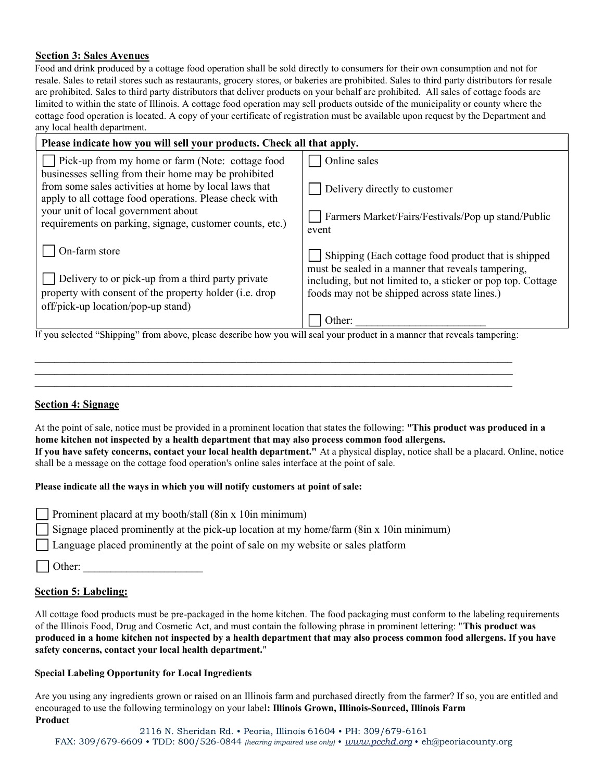#### Section 3: Sales Avenues

Food and drink produced by a cottage food operation shall be sold directly to consumers for their own consumption and not for resale. Sales to retail stores such as restaurants, grocery stores, or bakeries are prohibited. Sales to third party distributors for resale are prohibited. Sales to third party distributors that deliver products on your behalf are prohibited. All sales of cottage foods are **Section 3: Sales Avenues**<br>
Food and drink produced by a cottage food operation shall be sold directly to consumers for their own consumption and not for<br>
reache. Sales to triad stores such as restaurants, grocery stores cottage food operation is located. A copy of your certificate of registration must be available upon request by the Department and any local health department.

| Please indicate how you will sell your products. Check all that apply.                                                                                                                                                                                                                                                                |                                                                                                                                      |  |
|---------------------------------------------------------------------------------------------------------------------------------------------------------------------------------------------------------------------------------------------------------------------------------------------------------------------------------------|--------------------------------------------------------------------------------------------------------------------------------------|--|
| Pick-up from my home or farm (Note: cottage food                                                                                                                                                                                                                                                                                      | Online sales                                                                                                                         |  |
| businesses selling from their home may be prohibited<br>from some sales activities at home by local laws that<br>apply to all cottage food operations. Please check with                                                                                                                                                              | Delivery directly to customer                                                                                                        |  |
| your unit of local government about<br>requirements on parking, signage, customer counts, etc.)                                                                                                                                                                                                                                       | Farmers Market/Fairs/Festivals/Pop up stand/Public<br>event                                                                          |  |
| $\bigcup$ On-farm store                                                                                                                                                                                                                                                                                                               | Shipping (Each cottage food product that is shipped<br>must be sealed in a manner that reveals tampering,                            |  |
| Delivery to or pick-up from a third party private<br>property with consent of the property holder (i.e. drop<br>off/pick-up location/pop-up stand)                                                                                                                                                                                    | including, but not limited to, a sticker or pop top. Cottage<br>foods may not be shipped across state lines.)<br>Other:              |  |
| If you selected "Shipping" from above, please describe how you will seal your product in a manner that reveals tampering:                                                                                                                                                                                                             |                                                                                                                                      |  |
|                                                                                                                                                                                                                                                                                                                                       |                                                                                                                                      |  |
| <b>Section 4: Signage</b>                                                                                                                                                                                                                                                                                                             |                                                                                                                                      |  |
| At the point of sale, notice must be provided in a prominent location that states the following: "This product was produced in a<br>home kitchen not inspected by a health department that may also process common food allergens.<br>shall be a message on the cottage food operation's online sales interface at the point of sale. | If you have safety concerns, contact your local health department." At a physical display, notice shall be a placard. Online, notice |  |
| Please indicate all the ways in which you will notify customers at point of sale:                                                                                                                                                                                                                                                     |                                                                                                                                      |  |
| Prominent placard at my booth/stall $(8in x 10in minimum)$                                                                                                                                                                                                                                                                            |                                                                                                                                      |  |

#### Section 4: Signage

#### Please indicate all the ways in which you will notify customers at point of sale:

|--|

Signage placed prominently at the pick-up location at my home/farm (8in x 10in minimum)

Language placed prominently at the point of sale on my website or sales platform

Other:

#### Section 5: Labeling:

All cottage food products must be pre-packaged in the home kitchen. The food packaging must conform to the labeling requirements of the Illinois Food, Drug and Cosmetic Act, and must contain the following phrase in prominent lettering: "This product was produced in a home kitchen not inspected by a health department that may also process common food allergens. If you have safety concerns, contact your local health department." if you insect to use the following terminology on your label: Illinois Grown, Illinois-Sourced, Illinois Farm<br>The Fact of Production of Production's continent and the following terminol of sale.<br>
Denominent placed at my b

#### Special Labeling Opportunity for Local Ingredients

Are you using any ingredients grown or raised on an Illinois farm and purchased directly from the farmer? If so, you are entitled and Product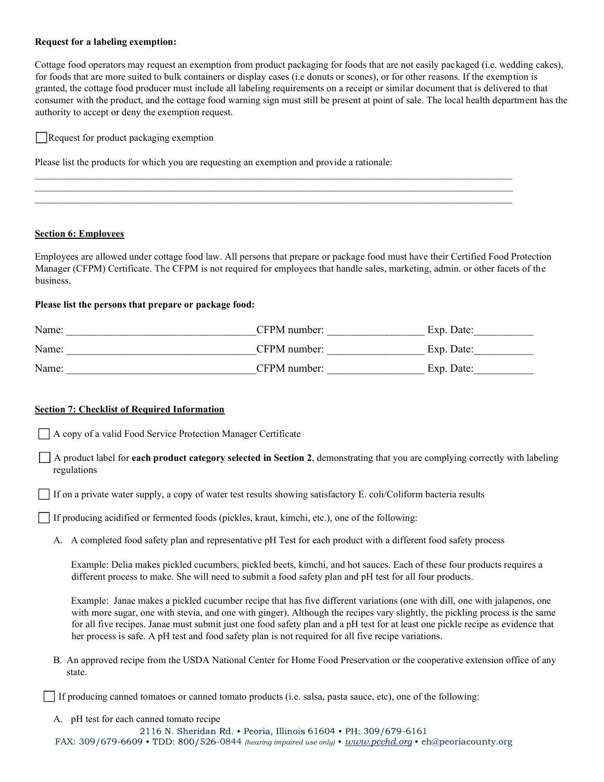#### Request for a labeling exemption:

Cottage food operators may request an exemption from product packaging for foods that are not easily packaged (i.e. wedding cakes), for foods that are more suited to bulk containers or display cases (i.e donuts or scones), or for other reasons. If the exemption is granted, the cottage food producer must include all labeling requirements on a receipt or similar document that is delivered to that consumer with the product, and the cottage food warning sign must still be present at point of sale. The local health department has the authority to accept or deny the exemption request.

 $\mathcal{L}_\mathcal{L} = \mathcal{L}_\mathcal{L} = \mathcal{L}_\mathcal{L} = \mathcal{L}_\mathcal{L} = \mathcal{L}_\mathcal{L} = \mathcal{L}_\mathcal{L} = \mathcal{L}_\mathcal{L} = \mathcal{L}_\mathcal{L} = \mathcal{L}_\mathcal{L} = \mathcal{L}_\mathcal{L} = \mathcal{L}_\mathcal{L} = \mathcal{L}_\mathcal{L} = \mathcal{L}_\mathcal{L} = \mathcal{L}_\mathcal{L} = \mathcal{L}_\mathcal{L} = \mathcal{L}_\mathcal{L} = \mathcal{L}_\mathcal{L}$  $\mathcal{L}_\mathcal{L} = \mathcal{L}_\mathcal{L} = \mathcal{L}_\mathcal{L} = \mathcal{L}_\mathcal{L} = \mathcal{L}_\mathcal{L} = \mathcal{L}_\mathcal{L} = \mathcal{L}_\mathcal{L} = \mathcal{L}_\mathcal{L} = \mathcal{L}_\mathcal{L} = \mathcal{L}_\mathcal{L} = \mathcal{L}_\mathcal{L} = \mathcal{L}_\mathcal{L} = \mathcal{L}_\mathcal{L} = \mathcal{L}_\mathcal{L} = \mathcal{L}_\mathcal{L} = \mathcal{L}_\mathcal{L} = \mathcal{L}_\mathcal{L}$ 

Request for product packaging exemption

Please list the products for which you are requesting an exemption and provide a rationale:

#### Section 6: Employees

Employees are allowed under cottage food law. All persons that prepare or package food must have their Certified Food Protection Manager (CFPM) Certificate. The CFPM is not required for employees that handle sales, marketing, admin. or other facets of the business.

#### Please list the persons that prepare or package food:

| Please list the persons that prepare or package food: |                                                                                                                                                                                                                                                                                                                     |  |
|-------------------------------------------------------|---------------------------------------------------------------------------------------------------------------------------------------------------------------------------------------------------------------------------------------------------------------------------------------------------------------------|--|
|                                                       |                                                                                                                                                                                                                                                                                                                     |  |
|                                                       |                                                                                                                                                                                                                                                                                                                     |  |
|                                                       |                                                                                                                                                                                                                                                                                                                     |  |
| regulations                                           | A copy of a valid Food Service Protection Manager Certificate<br>A product label for each product category selected in Section 2, demonstrating that you are complying correctly with labeling<br>If on a private water supply, a copy of water test results showing satisfactory E. coli/Coliform bacteria results |  |
|                                                       | □ If producing acidified or fermented foods (pickles, kraut, kimchi, etc.), one of the following:<br>A. A completed food safety plan and representative pH Test for each product with a different food safety process                                                                                               |  |
|                                                       | Example: Delia makes pickled cucumbers, pickled beets, kimchi, and hot sauces. Each of these four products requires a<br>different process to make. She will need to submit a food safety plan and pH test for all four products.                                                                                   |  |
|                                                       | Example: Janae makes a pickled cucumber recipe that has five different variations (one with dill, one with jalapenos, one                                                                                                                                                                                           |  |

#### Section 7: Checklist of Required Information

Example: Janae makes a pickled cucumber recipe that has five different variations (one with dill, one with jalapenos, one with more sugar, one with stevia, and one with ginger). Although the recipes vary slightly, the pickling process is the same for all five recipes. Janae must submit just one food safety plan and a pH test for at least one pickle recipe as evidence that her process is safe. A pH test and food safety plan is not required for all five recipe variations. For the Mercifiest of Required Information<br>
A copy of a valid Food Service Protection Manager Certificate<br>
A product habel for each product category selected in Section 2, demonstrating that you are complying correctly wit regulations<br>
If on a private water supply, a copy of water test results showing satisfactory E. coli/C<br>
If producing acidified or fermented foods (pickles, kraut, kimchi, etc.), one of the folle<br>
A. A completed food safet

state.

If producing canned tomatoes or canned tomato products (i.e. salsa, pasta sauce, etc), one of the following:

2116 N. Sheridan Rd. • Peoria, Illinois 61604 • PH: 309/679-6161 FAX: 309/679-6609 • TDD: 800/526-0844 (hearing impaired use only) • www.pcchd.org • eh@peoriacounty.org